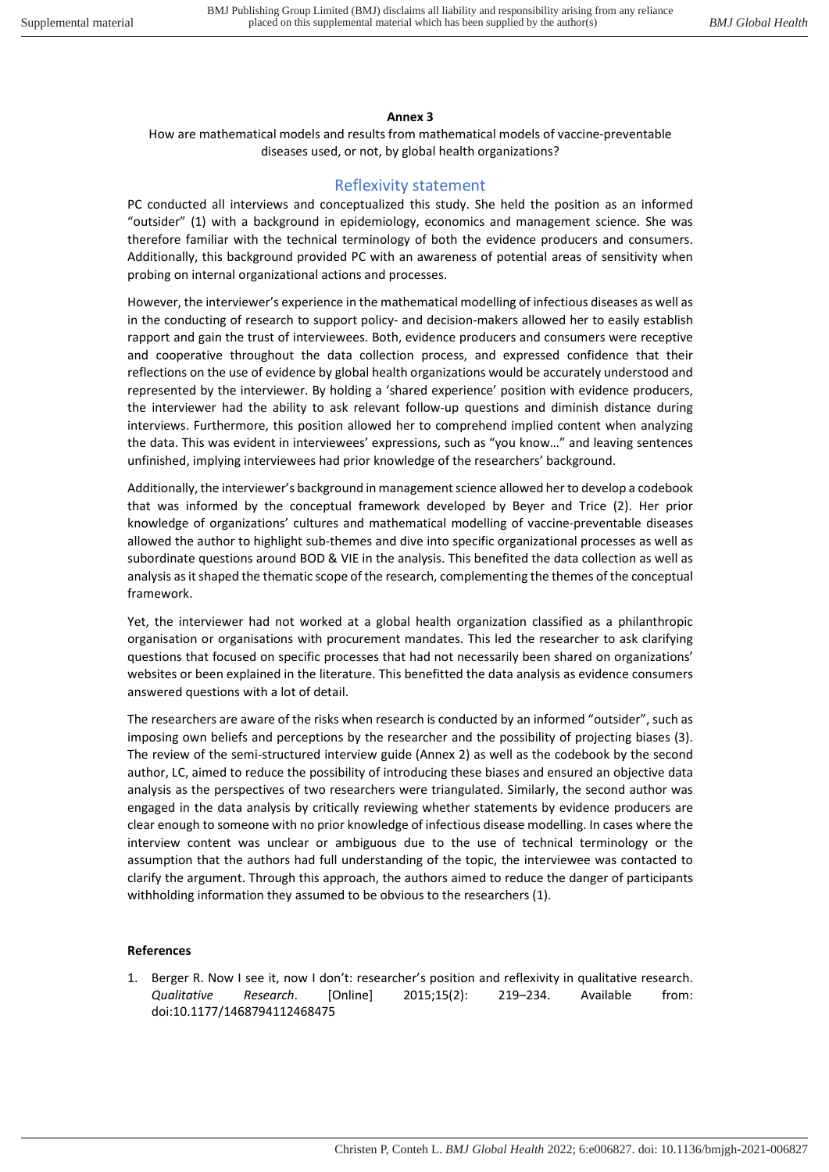## Annex 3

How are mathematical models and results from mathematical models of vaccine-preventable diseases used, or not, by global health organizations?

## Reflexivity statement

PC conducted all interviews and conceptualized this study. She held the position as an informed "outsider" (1) with a background in epidemiology, economics and management science. She was therefore familiar with the technical terminology of both the evidence producers and consumers. Additionally, this background provided PC with an awareness of potential areas of sensitivity when probing on internal organizational actions and processes.

However, the interviewer's experience in the mathematical modelling of infectious diseases as well as in the conducting of research to support policy- and decision-makers allowed her to easily establish rapport and gain the trust of interviewees. Both, evidence producers and consumers were receptive and cooperative throughout the data collection process, and expressed confidence that their reflections on the use of evidence by global health organizations would be accurately understood and represented by the interviewer. By holding a 'shared experience' position with evidence producers, the interviewer had the ability to ask relevant follow-up questions and diminish distance during interviews. Furthermore, this position allowed her to comprehend implied content when analyzing the data. This was evident in interviewees' expressions, such as "you know…" and leaving sentences unfinished, implying interviewees had prior knowledge of the researchers' background.

Additionally, the interviewer's background in management science allowed her to develop a codebook that was informed by the conceptual framework developed by Beyer and Trice (2). Her prior knowledge of organizations' cultures and mathematical modelling of vaccine-preventable diseases allowed the author to highlight sub-themes and dive into specific organizational processes as well as subordinate questions around BOD & VIE in the analysis. This benefited the data collection as well as analysis as it shaped the thematic scope of the research, complementing the themes of the conceptual framework.

Yet, the interviewer had not worked at a global health organization classified as a philanthropic organisation or organisations with procurement mandates. This led the researcher to ask clarifying questions that focused on specific processes that had not necessarily been shared on organizations' websites or been explained in the literature. This benefitted the data analysis as evidence consumers answered questions with a lot of detail.

The researchers are aware of the risks when research is conducted by an informed "outsider", such as imposing own beliefs and perceptions by the researcher and the possibility of projecting biases (3). The review of the semi-structured interview guide (Annex 2) as well as the codebook by the second author, LC, aimed to reduce the possibility of introducing these biases and ensured an objective data analysis as the perspectives of two researchers were triangulated. Similarly, the second author was engaged in the data analysis by critically reviewing whether statements by evidence producers are clear enough to someone with no prior knowledge of infectious disease modelling. In cases where the interview content was unclear or ambiguous due to the use of technical terminology or the assumption that the authors had full understanding of the topic, the interviewee was contacted to clarify the argument. Through this approach, the authors aimed to reduce the danger of participants withholding information they assumed to be obvious to the researchers (1).

## References

1. Berger R. Now I see it, now I don't: researcher's position and reflexivity in qualitative research. Qualitative Research. [Online] 2015;15(2): 219–234. Available from: doi:10.1177/1468794112468475